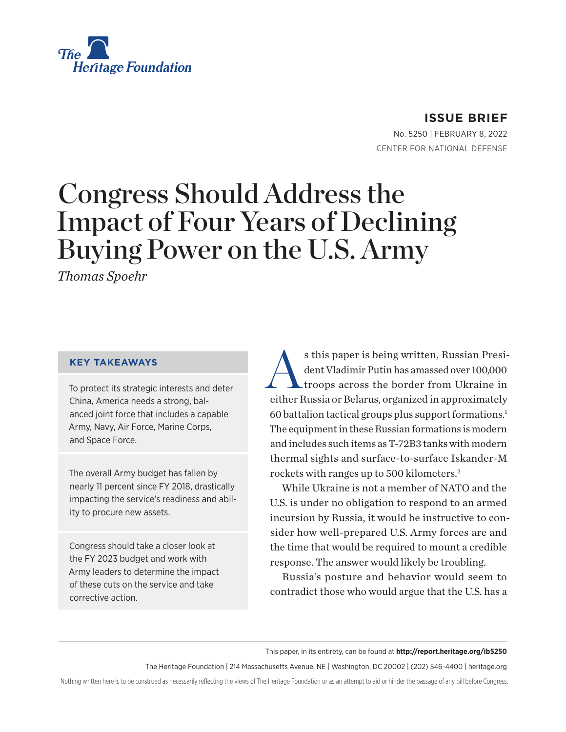<span id="page-0-0"></span>

**ISSUE BRIEF** No. 5250 | February 8, 2022

CENTER FOR NATIONAL DEFENSE

# Congress Should Address the Impact of Four Years of Declining Buying Power on the U.S. Army

*Thomas Spoehr*

#### **KEY TAKEAWAYS**

To protect its strategic interests and deter China, America needs a strong, balanced joint force that includes a capable Army, Navy, Air Force, Marine Corps, and Space Force.

The overall Army budget has fallen by nearly 11 percent since FY 2018, drastically impacting the service's readiness and ability to procure new assets.

Congress should take a closer look at the FY 2023 budget and work with Army leaders to determine the impact of these cuts on the service and take corrective action.

s this paper is being written, Russian President Vladimir Putin has amassed over 100,000 troops across the border from Ukraine in dent Vladimir Putin has amassed over 100,000 troops across the border from Ukraine in either Russia or Belarus, organized in approximately 60 battalion tactical groups plus support formations[.1](#page-6-0) The equipment in these Russian formations is modern and includes such items as T-72B3 tanks with modern thermal sights and surface-to-surface Iskander-M rockets with ranges up to 500 kilometers.[2](#page-6-0)

While Ukraine is not a member of NATO and the U.S. is under no obligation to respond to an armed incursion by Russia, it would be instructive to consider how well-prepared U.S. Army forces are and the time that would be required to mount a credible response. The answer would likely be troubling.

Russia's posture and behavior would seem to contradict those who would argue that the U.S. has a

This paper, in its entirety, can be found at **http://report.heritage.org/ib5250**

The Heritage Foundation | 214 Massachusetts Avenue, NE | Washington, DC 20002 | (202) 546-4400 | [heritage.org](http://www.heritage.org)

Nothing written here is to be construed as necessarily reflecting the views of The Heritage Foundation or as an attempt to aid or hinder the passage of any bill before Congress.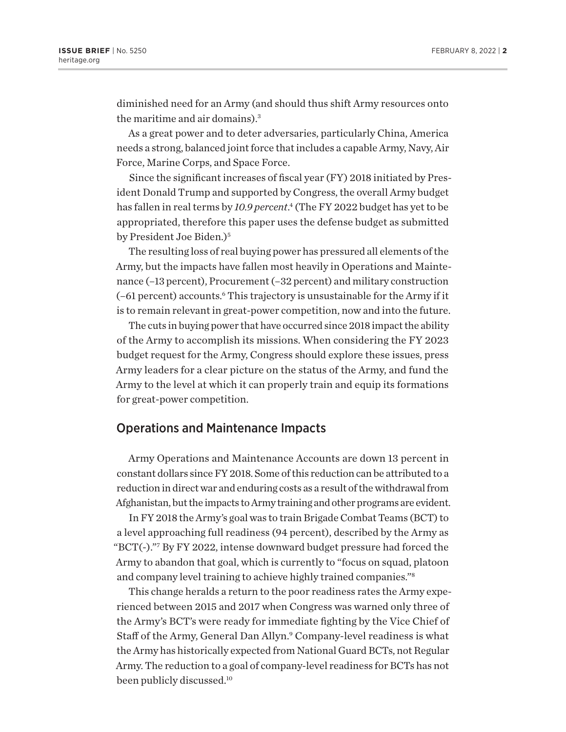<span id="page-1-0"></span>diminished need for an Army (and should thus shift Army resources onto the maritime and air domains).<sup>[3](#page-6-0)</sup>

As a great power and to deter adversaries, particularly China, America needs a strong, balanced joint force that includes a capable Army, Navy, Air Force, Marine Corps, and Space Force.

Since the significant increases of fiscal year (FY) 2018 initiated by President Donald Trump and supported by Congress, the overall Army budget has fallen in real terms by *10.9 percent*. [4](#page-6-0) (The FY 2022 budget has yet to be appropriated, therefore this paper uses the defense budget as submitted by President Joe Biden.)<sup>5</sup>

The resulting loss of real buying power has pressured all elements of the Army, but the impacts have fallen most heavily in Operations and Maintenance (–13 percent), Procurement (–32 percent) and military construction (-61 percent) accounts.<sup>6</sup> This trajectory is unsustainable for the Army if it is to remain relevant in great-power competition, now and into the future.

The cuts in buying power that have occurred since 2018 impact the ability of the Army to accomplish its missions. When considering the FY 2023 budget request for the Army, Congress should explore these issues, press Army leaders for a clear picture on the status of the Army, and fund the Army to the level at which it can properly train and equip its formations for great-power competition.

#### Operations and Maintenance Impacts

Army Operations and Maintenance Accounts are down 13 percent in constant dollars since FY 2018. Some of this reduction can be attributed to a reduction in direct war and enduring costs as a result of the withdrawal from Afghanistan, but the impacts to Army training and other programs are evident.

In FY 2018 the Army's goal was to train Brigade Combat Teams (BCT) to a level approaching full readiness (94 percent), described by the Army as "BCT(-)."[7](#page-6-0) By FY 2022, intense downward budget pressure had forced the Army to abandon that goal, which is currently to "focus on squad, platoon and company level training to achieve highly trained companies.["8](#page-6-0)

This change heralds a return to the poor readiness rates the Army experienced between 2015 and 2017 when Congress was warned only three of the Army's BCT's were ready for immediate fighting by the Vice Chief of Staff of the Army, General Dan Allyn.<sup>9</sup> Company-level readiness is what the Army has historically expected from National Guard BCTs, not Regular Army. The reduction to a goal of company-level readiness for BCTs has not been publicly discussed.<sup>[10](#page-6-0)</sup>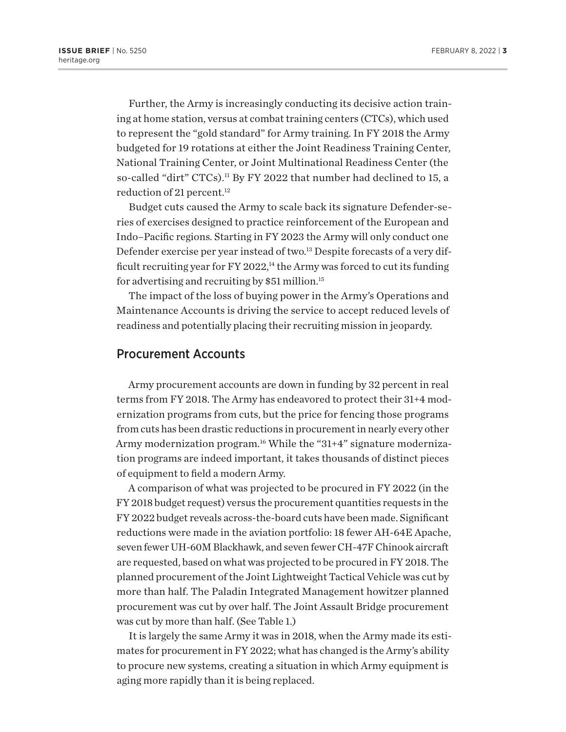<span id="page-2-0"></span>Further, the Army is increasingly conducting its decisive action training at home station, versus at combat training centers (CTCs), which used to represent the "gold standard" for Army training. In FY 2018 the Army budgeted for 19 rotations at either the Joint Readiness Training Center, National Training Center, or Joint Multinational Readiness Center (the so-called "dirt" CTCs).<sup>11</sup> By FY 2022 that number had declined to 15, a reduction of 21 percent.<sup>[12](#page-6-0)</sup>

Budget cuts caused the Army to scale back its signature Defender-series of exercises designed to practice reinforcement of the European and Indo–Pacific regions. Starting in FY 2023 the Army will only conduct one Defender exercise per year instead of two.[13](#page-6-0) Despite forecasts of a very difficult recruiting year for FY 2022, $^{14}$  the Army was forced to cut its funding for advertising and recruiting by \$51 million.[15](#page-6-0)

The impact of the loss of buying power in the Army's Operations and Maintenance Accounts is driving the service to accept reduced levels of readiness and potentially placing their recruiting mission in jeopardy.

#### Procurement Accounts

Army procurement accounts are down in funding by 32 percent in real terms from FY 2018. The Army has endeavored to protect their 31+4 modernization programs from cuts, but the price for fencing those programs from cuts has been drastic reductions in procurement in nearly every other Army modernization program.<sup>16</sup> While the "31+4" signature modernization programs are indeed important, it takes thousands of distinct pieces of equipment to field a modern Army.

A comparison of what was projected to be procured in FY 2022 (in the FY 2018 budget request) versus the procurement quantities requests in the FY 2022 budget reveals across-the-board cuts have been made. Significant reductions were made in the aviation portfolio: 18 fewer AH-64E Apache, seven fewer UH-60M Blackhawk, and seven fewer CH-47F Chinook aircraft are requested, based on what was projected to be procured in FY 2018. The planned procurement of the Joint Lightweight Tactical Vehicle was cut by more than half. The Paladin Integrated Management howitzer planned procurement was cut by over half. The Joint Assault Bridge procurement was cut by more than half. (See Table 1.)

It is largely the same Army it was in 2018, when the Army made its estimates for procurement in FY 2022; what has changed is the Army's ability to procure new systems, creating a situation in which Army equipment is aging more rapidly than it is being replaced.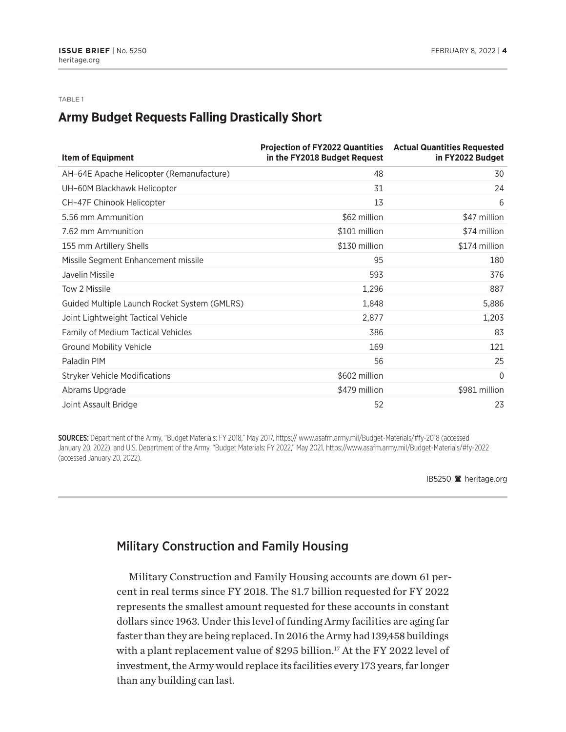#### <span id="page-3-0"></span>TABLE 1

# **Army Budget Requests Falling Drastically Short**

| <b>Item of Equipment</b>                     | <b>Projection of FY2022 Quantities Actual Quantities Requested</b><br>in the FY2018 Budget Request | in FY2022 Budget |
|----------------------------------------------|----------------------------------------------------------------------------------------------------|------------------|
| AH-64E Apache Helicopter (Remanufacture)     | 48                                                                                                 | 30               |
| UH-60M Blackhawk Helicopter                  | 31                                                                                                 | 24               |
| CH-47F Chinook Helicopter                    | 13                                                                                                 | 6                |
| 5.56 mm Ammunition                           | \$62 million                                                                                       | \$47 million     |
| 7.62 mm Ammunition                           | \$101 million                                                                                      | \$74 million     |
| 155 mm Artillery Shells                      | \$130 million                                                                                      | \$174 million    |
| Missile Segment Enhancement missile          | 95                                                                                                 | 180              |
| Javelin Missile                              | 593                                                                                                | 376              |
| Tow 2 Missile                                | 1,296                                                                                              | 887              |
| Guided Multiple Launch Rocket System (GMLRS) | 1,848                                                                                              | 5,886            |
| Joint Lightweight Tactical Vehicle           | 2,877                                                                                              | 1,203            |
| <b>Family of Medium Tactical Vehicles</b>    | 386                                                                                                | 83               |
| <b>Ground Mobility Vehicle</b>               | 169                                                                                                | 121              |
| Paladin PIM                                  | 56                                                                                                 | 25               |
| <b>Stryker Vehicle Modifications</b>         | \$602 million                                                                                      | $\Omega$         |
| Abrams Upgrade                               | \$479 million                                                                                      | \$981 million    |
| Joint Assault Bridge                         | 52                                                                                                 | 23               |

SOURCES: Department of the Army, "Budget Materials: FY 2018," May 2017, https:// www.asafm.army.mil/Budget-Materials/#fy-2018 (accessed January 20, 2022), and U.S. Department of the Army, "Budget Materials: FY 2022," May 2021, https://www.asafm.army.mil/Budget-Materials/#fy-2022 (accessed January 20, 2022).

IB5250 <sup>a</sup> heritage.org

### Military Construction and Family Housing

Military Construction and Family Housing accounts are down 61 percent in real terms since FY 2018. The \$1.7 billion requested for FY 2022 represents the smallest amount requested for these accounts in constant dollars since 1963. Under this level of funding Army facilities are aging far faster than they are being replaced. In 2016 the Army had 139,458 buildings with a plant replacement value of \$295 billion.<sup>17</sup> At the FY 2022 level of investment, the Army would replace its facilities every 173 years, far longer than any building can last.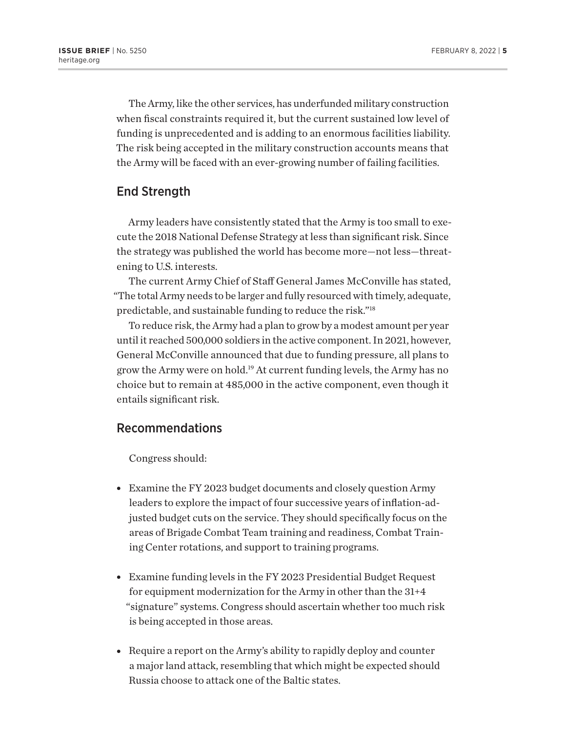<span id="page-4-0"></span>The Army, like the other services, has underfunded military construction when fiscal constraints required it, but the current sustained low level of funding is unprecedented and is adding to an enormous facilities liability. The risk being accepted in the military construction accounts means that the Army will be faced with an ever-growing number of failing facilities.

#### End Strength

Army leaders have consistently stated that the Army is too small to execute the 2018 National Defense Strategy at less than significant risk. Since the strategy was published the world has become more—not less—threatening to U.S. interests.

The current Army Chief of Staff General James McConville has stated, "The total Army needs to be larger and fully resourced with timely, adequate, predictable, and sustainable funding to reduce the risk."[18](#page-6-0)

To reduce risk, the Army had a plan to grow by a modest amount per year until it reached 500,000 soldiers in the active component. In 2021, however, General McConville announced that due to funding pressure, all plans to grow the Army were on hold[.19](#page-6-0) At current funding levels, the Army has no choice but to remain at 485,000 in the active component, even though it entails significant risk.

### Recommendations

Congress should:

- Examine the FY 2023 budget documents and closely question Army leaders to explore the impact of four successive years of inflation-adjusted budget cuts on the service. They should specifically focus on the areas of Brigade Combat Team training and readiness, Combat Training Center rotations, and support to training programs.
- Examine funding levels in the FY 2023 Presidential Budget Request for equipment modernization for the Army in other than the 31+4 "signature" systems. Congress should ascertain whether too much risk is being accepted in those areas.
- $\bullet$  Require a report on the Army's ability to rapidly deploy and counter a major land attack, resembling that which might be expected should Russia choose to attack one of the Baltic states.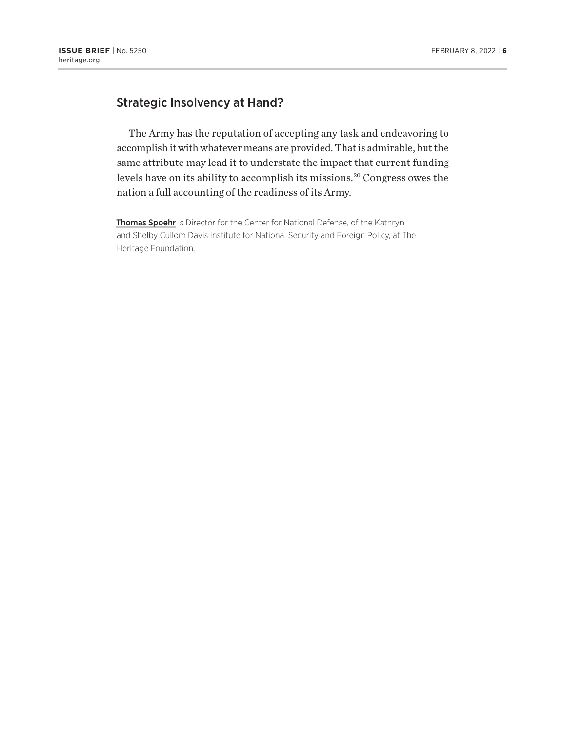# <span id="page-5-0"></span>Strategic Insolvency at Hand?

The Army has the reputation of accepting any task and endeavoring to accomplish it with whatever means are provided. That is admirable, but the same attribute may lead it to understate the impact that current funding levels have on its ability to accomplish its missions[.20](#page-6-0) Congress owes the nation a full accounting of the readiness of its Army.

Thomas Spoehr is Director for the Center for National Defense, of the Kathryn and Shelby Cullom Davis Institute for National Security and Foreign Policy, at The Heritage Foundation.